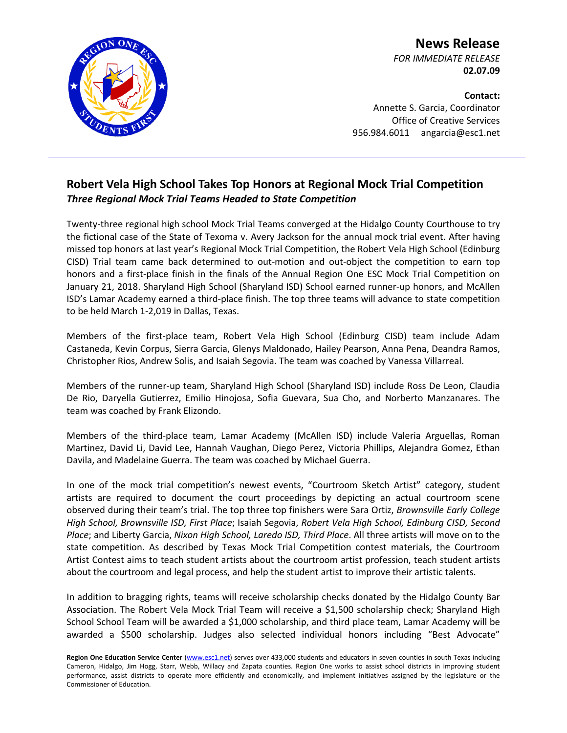

**News Release** *FOR IMMEDIATE RELEASE* **02.07.09**

**Contact:** Annette S. Garcia, Coordinator Office of Creative Services 956.984.6011 angarcia@esc1.net

## **Robert Vela High School Takes Top Honors at Regional Mock Trial Competition** *Three Regional Mock Trial Teams Headed to State Competition*

Twenty-three regional high school Mock Trial Teams converged at the Hidalgo County Courthouse to try the fictional case of the State of Texoma v. Avery Jackson for the annual mock trial event. After having missed top honors at last year's Regional Mock Trial Competition, the Robert Vela High School (Edinburg CISD) Trial team came back determined to out-motion and out-object the competition to earn top honors and a first-place finish in the finals of the Annual Region One ESC Mock Trial Competition on January 21, 2018. Sharyland High School (Sharyland ISD) School earned runner-up honors, and McAllen ISD's Lamar Academy earned a third-place finish. The top three teams will advance to state competition to be held March 1-2,019 in Dallas, Texas.

Members of the first-place team, Robert Vela High School (Edinburg CISD) team include Adam Castaneda, Kevin Corpus, Sierra Garcia, Glenys Maldonado, Hailey Pearson, Anna Pena, Deandra Ramos, Christopher Rios, Andrew Solis, and Isaiah Segovia. The team was coached by Vanessa Villarreal.

Members of the runner-up team, Sharyland High School (Sharyland ISD) include Ross De Leon, Claudia De Rio, Daryella Gutierrez, Emilio Hinojosa, Sofia Guevara, Sua Cho, and Norberto Manzanares. The team was coached by Frank Elizondo.

Members of the third-place team, Lamar Academy (McAllen ISD) include Valeria Arguellas, Roman Martinez, David Li, David Lee, Hannah Vaughan, Diego Perez, Victoria Phillips, Alejandra Gomez, Ethan Davila, and Madelaine Guerra. The team was coached by Michael Guerra.

In one of the mock trial competition's newest events, "Courtroom Sketch Artist" category, student artists are required to document the court proceedings by depicting an actual courtroom scene observed during their team's trial. The top three top finishers were Sara Ortiz, *Brownsville Early College High School, Brownsville ISD, First Place*; Isaiah Segovia, *Robert Vela High School, Edinburg CISD, Second Place*; and Liberty Garcia, *Nixon High School, Laredo ISD, Third Place*. All three artists will move on to the state competition. As described by Texas Mock Trial Competition contest materials, the Courtroom Artist Contest aims to teach student artists about the courtroom artist profession, teach student artists about the courtroom and legal process, and help the student artist to improve their artistic talents.

In addition to bragging rights, teams will receive scholarship checks donated by the Hidalgo County Bar Association. The Robert Vela Mock Trial Team will receive a \$1,500 scholarship check; Sharyland High School School Team will be awarded a \$1,000 scholarship, and third place team, Lamar Academy will be awarded a \$500 scholarship. Judges also selected individual honors including "Best Advocate"

Region One Education Service Center [\(www.esc1.net\)](http://www.esc1.net/) serves over 433,000 students and educators in seven counties in south Texas including Cameron, Hidalgo, Jim Hogg, Starr, Webb, Willacy and Zapata counties. Region One works to assist school districts in improving student performance, assist districts to operate more efficiently and economically, and implement initiatives assigned by the legislature or the Commissioner of Education.